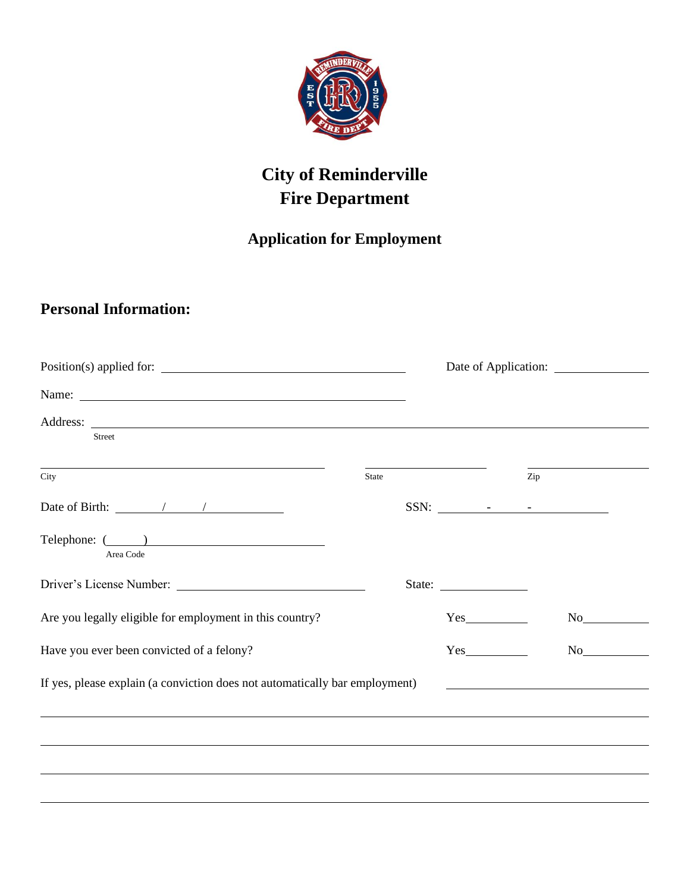

## **City of Reminderville Fire Department**

## **Application for Employment**

## **Personal Information:**

| Street                                                                                      |              |     |                                                                                                                                                                                                                                |  |
|---------------------------------------------------------------------------------------------|--------------|-----|--------------------------------------------------------------------------------------------------------------------------------------------------------------------------------------------------------------------------------|--|
| City                                                                                        | <b>State</b> | Zip |                                                                                                                                                                                                                                |  |
| Date of Birth: $\frac{1}{\sqrt{1-\frac{1}{2}}}\left  \frac{1}{\sqrt{1-\frac{1}{2}}}\right $ |              |     |                                                                                                                                                                                                                                |  |
| Telephone: ( )<br>Area Code                                                                 |              |     |                                                                                                                                                                                                                                |  |
|                                                                                             |              |     |                                                                                                                                                                                                                                |  |
| Are you legally eligible for employment in this country?                                    |              |     | No                                                                                                                                                                                                                             |  |
| Have you ever been convicted of a felony?                                                   |              | Yes | No new years of the state of the state of the state of the state of the state of the state of the state of the state of the state of the state of the state of the state of the state of the state of the state of the state o |  |
| If yes, please explain (a conviction does not automatically bar employment)                 |              |     |                                                                                                                                                                                                                                |  |
|                                                                                             |              |     |                                                                                                                                                                                                                                |  |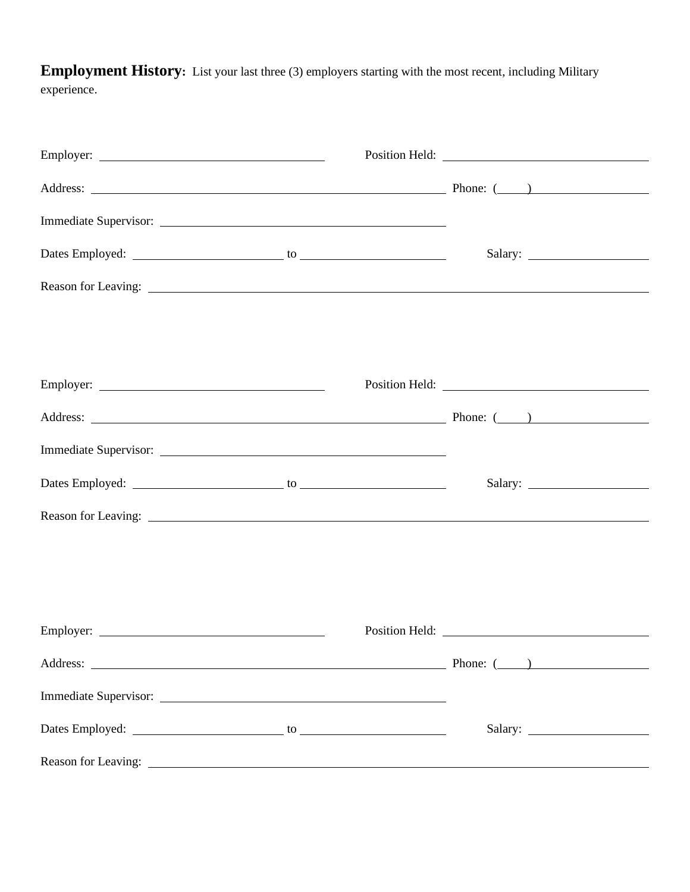**Employment History:** List your last three (3) employers starting with the most recent, including Military experience.

|  | Address: <u>New York: (New York: (New York: (New York: (New York: (New York: (New York: (New York: (New York: (New York: (New York: (New York: (New York: (New York: (New York: (New York: (New York: (New York: (New York: (New</u> |  |
|--|--------------------------------------------------------------------------------------------------------------------------------------------------------------------------------------------------------------------------------------|--|
|  |                                                                                                                                                                                                                                      |  |
|  |                                                                                                                                                                                                                                      |  |
|  |                                                                                                                                                                                                                                      |  |
|  |                                                                                                                                                                                                                                      |  |
|  |                                                                                                                                                                                                                                      |  |
|  |                                                                                                                                                                                                                                      |  |
|  | Address: <u>New York: (New York: (New York: (New York: (New York: (New York: (New York: (New York: (New York: (New York: (New York: (New York: (New York: (New York: (New York: (New York: (New York: (New York: (New York: (New</u> |  |
|  |                                                                                                                                                                                                                                      |  |
|  |                                                                                                                                                                                                                                      |  |
|  |                                                                                                                                                                                                                                      |  |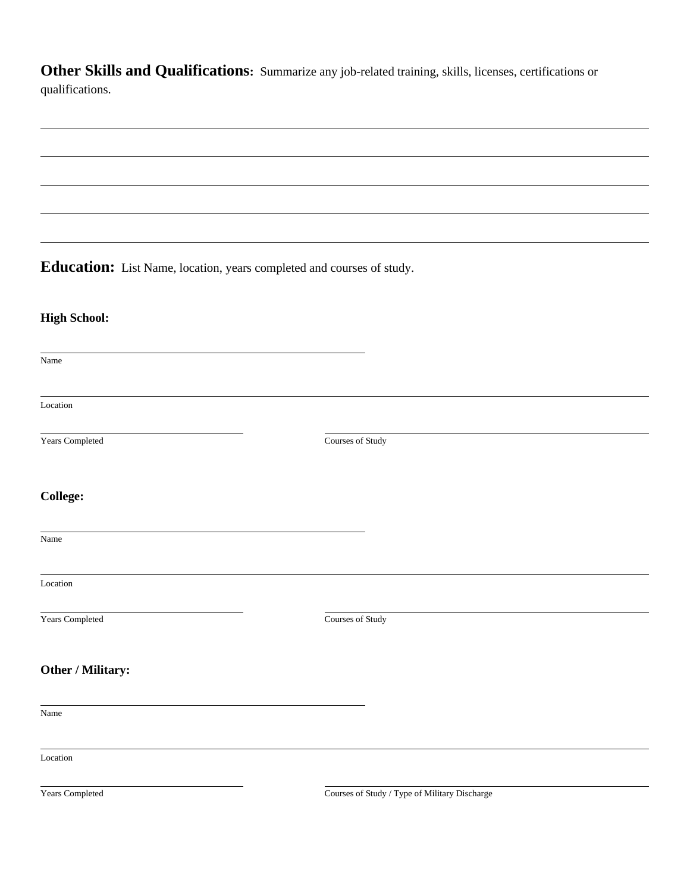**Other Skills and Qualifications:** Summarize any job-related training, skills, licenses, certifications or qualifications.

**Education:** List Name, location, years completed and courses of study.

## **High School:**

Name Location **The Vears Completed Courses of Study College:** Name Location Years Completed Courses of Study **Other / Military:** Name Location

Years Completed Courses of Study / Type of Military Discharge